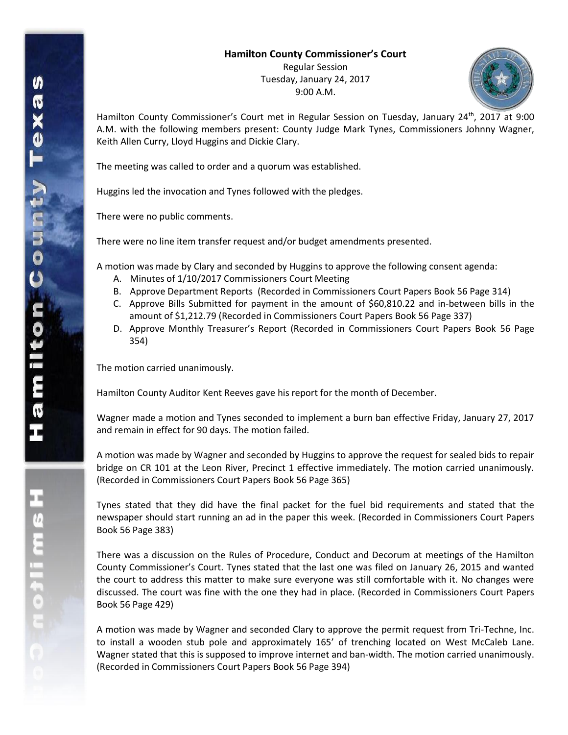## **Hamilton County Commissioner's Court**

Regular Session Tuesday, January 24, 2017 9:00 A.M.



Hamilton County Commissioner's Court met in Regular Session on Tuesday, January 24<sup>th</sup>, 2017 at 9:00 A.M. with the following members present: County Judge Mark Tynes, Commissioners Johnny Wagner, Keith Allen Curry, Lloyd Huggins and Dickie Clary.

The meeting was called to order and a quorum was established.

Huggins led the invocation and Tynes followed with the pledges.

There were no public comments.

There were no line item transfer request and/or budget amendments presented.

A motion was made by Clary and seconded by Huggins to approve the following consent agenda:

- A. Minutes of 1/10/2017 Commissioners Court Meeting
- B. Approve Department Reports (Recorded in Commissioners Court Papers Book 56 Page 314)
- C. Approve Bills Submitted for payment in the amount of \$60,810.22 and in-between bills in the amount of \$1,212.79 (Recorded in Commissioners Court Papers Book 56 Page 337)
- D. Approve Monthly Treasurer's Report (Recorded in Commissioners Court Papers Book 56 Page 354)

The motion carried unanimously.

Hamilton County Auditor Kent Reeves gave his report for the month of December.

Wagner made a motion and Tynes seconded to implement a burn ban effective Friday, January 27, 2017 and remain in effect for 90 days. The motion failed.

A motion was made by Wagner and seconded by Huggins to approve the request for sealed bids to repair bridge on CR 101 at the Leon River, Precinct 1 effective immediately. The motion carried unanimously. (Recorded in Commissioners Court Papers Book 56 Page 365)

Tynes stated that they did have the final packet for the fuel bid requirements and stated that the newspaper should start running an ad in the paper this week. (Recorded in Commissioners Court Papers Book 56 Page 383)

There was a discussion on the Rules of Procedure, Conduct and Decorum at meetings of the Hamilton County Commissioner's Court. Tynes stated that the last one was filed on January 26, 2015 and wanted the court to address this matter to make sure everyone was still comfortable with it. No changes were discussed. The court was fine with the one they had in place. (Recorded in Commissioners Court Papers Book 56 Page 429)

A motion was made by Wagner and seconded Clary to approve the permit request from Tri-Techne, Inc. to install a wooden stub pole and approximately 165' of trenching located on West McCaleb Lane. Wagner stated that this is supposed to improve internet and ban-width. The motion carried unanimously. (Recorded in Commissioners Court Papers Book 56 Page 394)